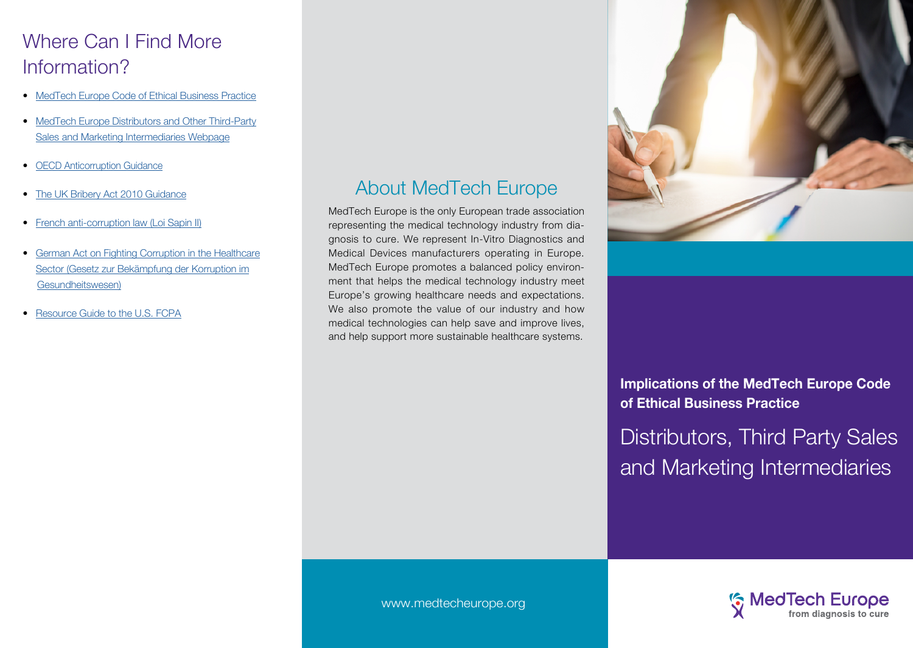# Where Can I Find More Information?

- [MedTech Europe Code of Ethical Business Practice](http://www.medtecheurope.org/industry-themes/topic/122
)
- [MedTech Europe Distributors and Other Third-Party](http://www.medtecheurope.org/industry-themes/topic/98) [Sales and Marketing Intermediaries Webpage](http://www.medtecheurope.org/industry-themes/topic/98)
- **[OECD Anticorruption Guidance](http://www.oecd.org/corruption/keyoecdanti-corruptiondocuments.htm )**
- [The UK Bribery Act 2010 Guidance](https://www.justice.gov.uk/downloads/legislation/bribery-act-2010-guidance.pdf 
)
- [French anti-corruption law \(Loi Sapin II\)](http://droit-finances.commentcamarche.net/download/tele		charger-374-loi-sapin-2-texte-de-loi 
)
- [German Act on Fighting Corruption in the Healthcare](https://www.bgbl.de/xaver/bgbl/start.xav?startbk=Bundesanzeiger_BGBl&start=//*[@attr_id=%27bgbl116s1254.pdf%27]) [Sector \(Gesetz zur Bekämpfung der Korruption im](https://www.bgbl.de/xaver/bgbl/start.xav?startbk=Bundesanzeiger_BGBl&start=//*[@attr_id=%27bgbl116s1254.pdf%27]) [Gesundheitswesen\)](https://www.bgbl.de/xaver/bgbl/start.xav?startbk=Bundesanzeiger_BGBl&start=//*[@attr_id=%27bgbl116s1254.pdf%27])
- [Resource Guide to the U.S. FCPA](http://www.justice.gov/criminal-fraud/fcpa-guidance
)

# About MedTech Europe

MedTech Europe is the only European trade association representing the medical technology industry from diagnosis to cure. We represent In-Vitro Diagnostics and Medical Devices manufacturers operating in Europe. MedTech Europe promotes a balanced policy environment that helps the medical technology industry meet Europe's growing healthcare needs and expectations. We also promote the value of our industry and how medical technologies can help save and improve lives, and help support more sustainable healthcare systems.



**Implications of the MedTech Europe Code of Ethical Business Practice**

Distributors, Third Party Sales and Marketing Intermediaries



www.medtecheurope.org